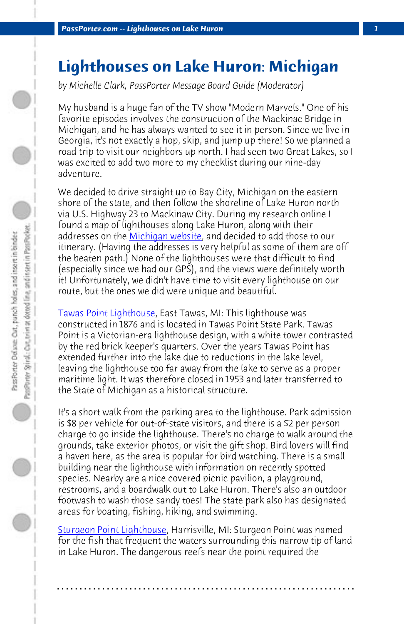*PassPorter.com -- Lighthouses on Lake Huron* 

## **Lighthouses on Lake Huron: Michigan**

*by Michelle Clark, PassPorter Message Board Guide (Moderator)*

My husband is a huge fan of the TV show "Modern Marvels." One of his favorite episodes involves the construction of the Mackinac Bridge in [Michigan, and he has alw](http://www.michigan.gov/tawaslighthouse)ays wanted to see it in person. Since we live in Georgia, it's not exactly a hop, skip, and jump up there! So we planned a road trip to visit our neighbors up north. I had seen two Great Lakes, so I was excited to add two more to my checklist during our nine-day adventure.

We decided to drive straight up to Bay City, Michigan on the eastern shore of the state, and then follow the shoreline of Lake Huron north via U.S. Highway 23 to Mackinaw City. During my research online I found a map of lighthouses along Lake Huron, along with their addresses on the Michigan website, and decided to add those to our itinerary. (Having the addresses is very helpful as some of them are off the beaten path.) None of the lighthouses were that difficult to find (especially since we had our GPS), and the views were definitely worth it! Unfortunately, we didn't have time to visit every lighthouse on our route, but the ones we did were unique and beautiful.

Tawas Point Lighthouse, East Tawas, MI: This lighthouse was constructed in 1876 and is located in Tawas Point State Park. Tawas Point is a Victorian-era lighthouse design, with a white tower contrasted [by the red brick keeper's q](http://www.alconahistoricalsociety.com/)uarters. Over the years Tawas Point has extended further into the lake due to reductions in the lake level, leaving the lighthouse too far away from the lake to serve as a proper maritime light. It was therefore closed in 1953 and later transferred to the State of Michigan as a historical structure.

It's a short walk from the parking area to the lighthouse. Park admission is \$8 per vehicle for out-of-state visitors, and there is a \$2 per person charge to go inside the lighthouse. There's no charge to walk around the grounds, take exterior photos, or visit the gift shop. Bird lovers will find a haven here, as the area is popular for bird watching. There is a small building near the lighthouse with information on recently spotted species. Nearby are a nice covered picnic pavilion, a playground, restrooms, and a boardwalk out to Lake Huron. There's also an outdoor footwash to wash those sandy toes! The state park also has designated areas for boating, fishing, hiking, and swimming.

Sturgeon Point Lighthouse, Harrisville, MI: Sturgeon Point was named for the fish that frequent the waters surrounding this narrow tip of land in Lake Huron. The dangerous reefs near the point required the

**. . . . . . . . . . . . . . . . . . . . . . . . . . . . . . . . . . . . . . . . . . . . . . . . . . . . . . . . . . . . . . . . . .**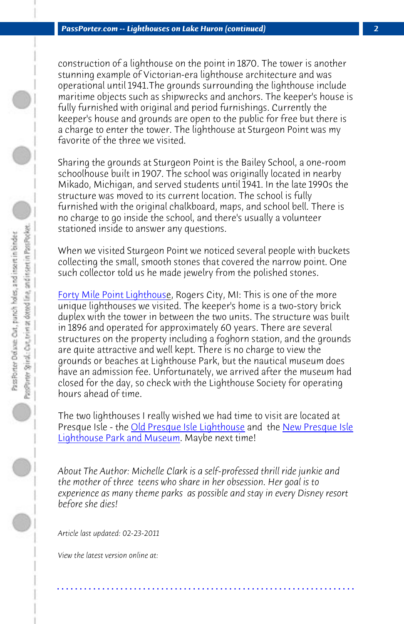*PassPorter.com -- Lighthouses on Lake Huron (continued) 2*

construction of a lighthouse on the point in 1870. The tower is another stunning example of Victorian-era lighthouse architecture and was operational until 1941.The grounds surrounding the lighthouse include maritime objects such as shipwrecks and anchors. The keeper's house is [fully furnished with origina](http://www.40milepointlighthouse.org/index.html)l and period furnishings. Currently the keeper's house and grounds are open to the public for free but there is a charge to enter the tower. The lighthouse at Sturgeon Point was my favorite of the three we visited.

Sharing the grounds at Sturgeon Point is the Bailey School, a one-room schoolhouse built in 1907. The school was originally located in nearby Mikado, Michigan, and served students until 1941. In the late 1990s the structure was moved to its current location. The school is fully furnished with the original chalkboard, maps, and school bell. There is no charge to go inside the school, and there's usually a volunteer stationed inside to answer any questions.

[When we visited Sturgeon Poi](http://www.michigan.org/Property/Detail.aspx?p=G4981)[nt we noticed se](http://www.michigan.org/Property/Detail.aspx?p=B9635)veral pe[ople with buckets](http://www.michigan.org/Property/Detail.aspx?p=G4981) collecting the small, smooth stones that covered the narrow point. One such collector told us he made jewelry from the polished stones.

Forty Mile Point Lighthouse, Rogers City, MI: This is one of the more unique lighthouses we visited. The keeper's home is a two-story brick duplex with the tower in between the two units. The structure was built in 1896 and operated for approximately 60 years. There are several structures on the property including a foghorn station, and the grounds are quite attractive and well kept. There is no charge to view the grounds or beaches at Lighthouse Park, but the nautical museum does have an admission fee. Unfortunately, we arrived after the museum had closed for the day, so check with the Lighthouse Society for operating hours ahead of time.

The two lighthouses I really wished we had time to visit are located at Presque Isle - the Old Presque Isle Lighthouse and the New Presque Isle Lighthouse Park and Museum. Maybe next time!

*About The Author: Michelle Clark is a self-professed thrill ride junkie and the mother of three teens who share in her obsession. Her goal is to experience as many theme parks as possible and stay in every Disney resort before she dies!*

**. . . . . . . . . . . . . . . . . . . . . . . . . . . . . . . . . . . . . . . . . . . . . . . . . . . . . . . . . . . . . . . . . .**

*Article last updated: 02-23-2011*

*View the latest version online at:*